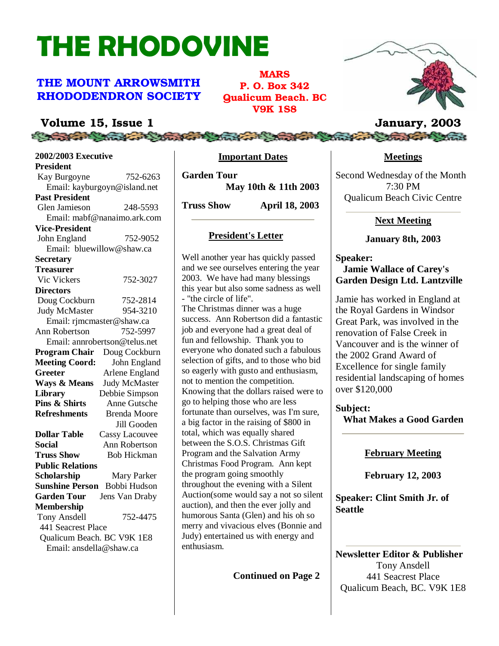# THE RHODOVINE

#### THE MOUNT ARROWSMITH RHODODENDRON SOCIETY

MARS P. O. Box 342 Qualicum Beach. BC V9K 1S8

#### Volume 15, Issue 1 January, 2003

**2002/2003 Executive President** Kay Burgoyne 752-6263 Email: kayburgoyn@island.net **Past President** Glen Jamieson 248-5593 Email: mabf@nanaimo.ark.com **Vice-President** John England 752-9052 Email: bluewillow@shaw.ca **Secretary Treasurer** Vic Vickers 752-3027 **Directors** Doug Cockburn 752-2814 Judy McMaster 954-3210 Email: rjmcmaster@shaw.ca<br>n Robertson 752-5997 Ann Robertson Email: annrobertson@telus.net **Program Chair** Doug Cockburn **Meeting Coord:** John England Greeter **Arlene England Ways & Means** Judy McMaster **Library** Debbie Simpson<br>**Pins & Shirts** Anne Gutsche **Pins & Shirts** Anne Gutsche **Refreshments** Brenda Moore Jill Gooden **Dollar Table** Cassy Lacouvee **Social** Ann Robertson **Truss Show** Bob Hickman **Public Relations Scholarship** Mary Parker **Sunshine Person** Bobbi Hudson **Garden Tour** Jens Van Draby **Membership** Tony Ansdell 752-4475 441 Seacrest Place Qualicum Beach. BC V9K 1E8 Email: ansdella@shaw.ca

#### **Important Dates**

**Garden Tour May 10th & 11th 2003**

**Truss Show April 18, 2003**

#### **President's Letter**

Well another year has quickly passed and we see ourselves entering the year 2003. We have had many blessings this year but also some sadness as well - "the circle of life". The Christmas dinner was a huge success. Ann Robertson did a fantastic job and everyone had a great deal of fun and fellowship. Thank you to everyone who donated such a fabulous selection of gifts, and to those who bid so eagerly with gusto and enthusiasm, not to mention the competition. Knowing that the dollars raised were to go to helping those who are less fortunate than ourselves, was I'm sure, a big factor in the raising of \$800 in total, which was equally shared between the S.O.S. Christmas Gift Program and the Salvation Army Christmas Food Program. Ann kept the program going smoothly throughout the evening with a Silent Auction(some would say a not so silent auction), and then the ever jolly and humorous Santa (Glen) and his oh so merry and vivacious elves (Bonnie and Judy) entertained us with energy and enthusiasm.

**Continued on Page 2**



## Compare the state of the fact that the contract of the fact the fact of the fact of the

**Meetings**

Second Wednesday of the Month 7:30 PM Qualicum Beach Civic Centre

#### **Next Meeting**

#### **January 8th, 2003**

**Speaker: Jamie Wallace of Carey's Garden Design Ltd. Lantzville**

Jamie has worked in England at the Royal Gardens in Windsor Great Park, was involved in the renovation of False Creek in Vancouver and is the winner of the 2002 Grand Award of Excellence for single family residential landscaping of homes over \$120,000

**Subject: What Makes a Good Garden**

#### **February Meeting**

**February 12, 2003**

**Speaker: Clint Smith Jr. of Seattle**

**Newsletter Editor & Publisher** Tony Ansdell 441 Seacrest Place Qualicum Beach, BC. V9K 1E8